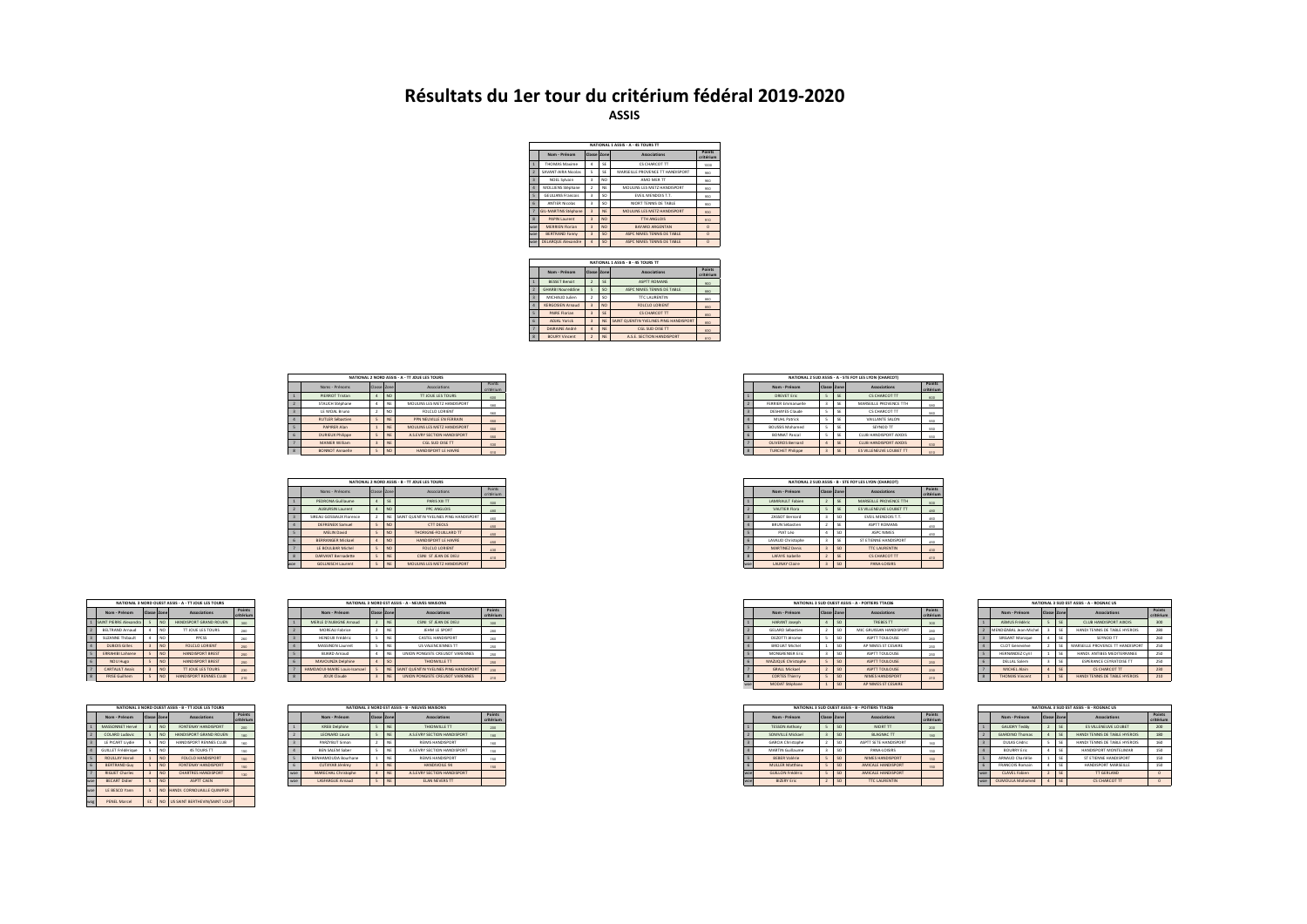## **Résultats du 1er tour du critérium fédéral 2019-2020 ASSIS**

|                    |                           |                         |                | NATIONAL 1 ASSIS - A - AS TOURS TT |                     |
|--------------------|---------------------------|-------------------------|----------------|------------------------------------|---------------------|
|                    | Nom - Prénom              | Classe Zone             |                | Associations                       | Points<br>critérium |
|                    | <b>THOMAS Maxime</b>      | 4                       | SF             | <b>CSCHARCOT TT</b>                | seco                |
| þ.                 | SAVANT-AIRA Nicolas       | $\leq$                  | SF             | MARSEILLE PROVENCE TT HANDISPORT   | gan                 |
| 3                  | NOEL Sylvain              | 3                       | N <sub>O</sub> | AMO MER TT                         | orn                 |
| 4                  | MOLLIENS Stéphane         | ,                       | <b>NF</b>      | MOLIUNS LES METZ HANDISPORT        | osn                 |
| 5                  | <b>GEULIANS Francois</b>  | ą,                      | sn             | <b>EVEL MENDOISTT.</b>             | osn                 |
| ĥ.                 | <b>ANTIFR Nicolas</b>     | 3                       | sn             | NIORT TENNIS DE TABLE              | osn                 |
|                    | GIL-MARTINS Stéphane      | $\overline{\mathbf{z}}$ | <b>NE</b>      | MOULINS LES METZ HANDISPORT        | om                  |
| $\mathbf{\hat{z}}$ | <b>PAPIN Laurent</b>      | $\overline{a}$          | NO.            | <b>TTH ANGLOIS</b>                 | 910                 |
| son                | <b>MERRIEN Florian</b>    | $\overline{a}$          | N <sub>O</sub> | <b>RAYARD ARGENTAN</b>             | $\Omega$            |
| woe                | <b>BERTRAND Fanny</b>     | $\overline{\mathbf{z}}$ | <sub>SO</sub>  | ASPC NIMES TENNIS DE TABLE         | $\Omega$            |
| <b>Anno</b>        | <b>DELARQUE Alexandre</b> | $\Delta$                | <sub>SO</sub>  | ASPC NIMES TENNIS DE TABLE         | $\Omega$            |

|                          |                          |                |                | NATIONAL 1 ASSIS - B - 4S TOURS TT     |                     |
|--------------------------|--------------------------|----------------|----------------|----------------------------------------|---------------------|
|                          | Nom - Prénom             | Classe Zone    |                | Associations                           | Points<br>critérium |
|                          | <b>RESSET Renoit</b>     | $\overline{2}$ | <b>SE</b>      | <b>ASPTT ROMANS</b>                    | 200                 |
| $\overline{z}$           | <b>GHARBI Noureddine</b> | $\leq$         | <sub>SO</sub>  | ASPC NIMES TENNIS DE TABLE             | 880                 |
| $\overline{\mathbf{3}}$  | MICHALID Infien-         | $\overline{2}$ | SO             | <b>TTC LAURENTIN</b>                   | 880                 |
| $\Delta$                 | <b>KERGOSIEN Arnaud</b>  | $\overline{3}$ | N <sub>O</sub> | <b>FOLCLO LORIENT</b>                  | 850                 |
| $\overline{\phantom{a}}$ | <b>PAIRE Florian</b>     | $\overline{3}$ | <b>SE</b>      | <b>CSCHARCOT TT</b>                    | 850                 |
| 6                        | <b>ADIAI Yorick</b>      | $\overline{a}$ | <b>NF</b>      | SAINT QUENTIN YVELINES PING HANDISPORT | 850                 |
| $\overline{7}$           | DAIRAINE André           | $\Delta$       | <b>NE</b>      | CGL SUD OISE TT                        | 830                 |
| $\overline{\mathbf{8}}$  | <b>BOURY Vincent</b>     | $\overline{2}$ | <b>NE</b>      | A.S.E. SECTION HANDISPORT              | 810                 |
|                          |                          |                |                |                                        |                     |

|                         |             |                 | NATIONAL 2 NORD ASSIS - A - TT JOUE LES TOURS |                     |
|-------------------------|-------------|-----------------|-----------------------------------------------|---------------------|
| Noms - Prénoms          | Classe Zone |                 | Associations                                  | Points<br>critérium |
| PIERROT Tristan         |             | NO <sub>1</sub> | <b>TT JOUE LES TOURS</b>                      | 600                 |
| STAUCH Stéphane         |             |                 | MOULINS LES METZ HANDISPORT                   | 580                 |
| LE MOAL Bruno           |             | NO <sub>1</sub> | FOLCLO LORIENT                                | 560                 |
| <b>RUTLER Sébastion</b> |             |                 | PPN NEUVILLE EN FERRAIN                       | 550                 |
| PAPIRER Alan            |             |                 | MOULINS LES METZ HANDISPORT                   | 550                 |
| DURIEUX Philippe        |             |                 | A.S.EVRY SECTION HANDISPORT                   | 550                 |
| <b>MANIER William</b>   |             | <b>NE</b>       | CGL SUD OISE TT                               | 530                 |
| <b>BONNOT Annaelie</b>  |             | NO <sub>1</sub> | HANDISPORT LE HAVRE                           | 510                 |

|     |                          |             |           | NATIONAL 2 NORD ASSIS - B - TT JOUE LES TOURS |                     |  | NATIONAL 2 SUD ASSIS - B - STE FOY LES LYON (CHARCOT) |                          |               |                         |
|-----|--------------------------|-------------|-----------|-----------------------------------------------|---------------------|--|-------------------------------------------------------|--------------------------|---------------|-------------------------|
|     | Noms - Prénoms           | Classe Zone |           | Associations                                  | Points<br>critérium |  | Nom - Prénom                                          | Classe Zone              |               | Associations            |
|     | PEDRONA Guillaume        |             | SE        | PARIS XIII TT                                 | 500                 |  | LAMIRAULT Fabien                                      |                          | SE            | MARSEILLE PROVENCE TTH  |
|     | AUBURSIN Laurent         |             | NO.       | PPC ANGLOIS                                   | 480                 |  | VAUTIER Flora                                         |                          | SE            | ES VILLENEUVE LOUBET TT |
|     | SIREAU GOSSIAUX Florence |             | NE        | SAINT QUENTIN YVELINES PING HANDISPORT        | 450                 |  | ZASSOT Bernard                                        |                          | SO            | EVEIL MENDOIS T.T.      |
|     | DEFRENEIX Samuel         |             | NO.       | <b>CTT DEOLS</b>                              | 450                 |  | BRUN Sébastien                                        | $\overline{\phantom{a}}$ | SE            | ASPTT ROMANS            |
|     | MELIN David              |             | NO.       | THORIGNE-FOUILLARD TT                         | 450                 |  | PIAT Léo                                              |                          | <sub>SO</sub> | ASPC NIMES              |
|     | <b>BERRANGER Mickael</b> |             | NO.       | HANDISPORT LE HAVRE                           | 450                 |  | LAVAUD Christophe                                     |                          | SE            | ST ETIENNE HANDISPORT   |
|     | LE BOULBAR Michel        |             | NO.       | FOLCLO LORIENT                                | 430                 |  | <b>MARTINEZ Denis</b>                                 | $\overline{\phantom{a}}$ | <sub>SO</sub> | <b>TTC LAURENTIN</b>    |
|     | DARVANT Bernadette       |             | <b>NE</b> | CSINI ST JEAN DE DIEU                         | 410                 |  | LAFAYE Isabelle                                       | <b>STATISTICS</b><br>÷   | SE            | <b>CS CHARCOT TT</b>    |
| woe | <b>GOLLNISCH Laurent</b> |             | <b>NE</b> | MOULINS LES METZ HANDISPORT                   |                     |  | LAUNAY Claire                                         | $\sim$                   | SO            | PANA-LOISIRS            |

|              |                          |                |                     | NATIONAL 3 NORD OURST ASSIS - A - TT IQUE LES TOURS |     |
|--------------|--------------------------|----------------|---------------------|-----------------------------------------------------|-----|
|              | Nom - Prénom             | Classe Zone    | Points<br>critérium |                                                     |     |
|              | SAINT PIERRE Alexandra   | s              | NO                  | HANDISPORT GRAND ROUEN                              | 300 |
|              | <b>REITRAND Arnaud</b>   | 4              | NO                  | <b>TT IOUE LES TOURS</b>                            | 280 |
| R            | <b>SLIZANNE Thibault</b> | 4              | NO                  | PRESS                                               | 280 |
| ٠            | DUROIS Gilles            | $\overline{3}$ | <b>NO</b>           | <b>FOLCLO LORIENT</b>                               | 250 |
| <b>S</b>     | <b>FRRAHIRLI ahsene</b>  | ç,             | <b>NO</b>           | <b>HANDISPORT RREST</b>                             | 250 |
| F            | <b>NOU Huzo</b>          | 5              | NO                  | HANDISPORT RREST                                    | 250 |
|              | <b>CARTALILT Analis</b>  | $\overline{a}$ | NO                  | <b>TT IOUE LES TOURS</b>                            | 230 |
| $\mathbf{R}$ | <b>FRISE Guilhom</b>     | 5              | <b>NO</b>           | HANDISPORT RENNES CLUB                              | 210 |

|                         |                           |                          |                 | NATIONAL 3 NORD OURST ASSIS . R. TT JOUR LES TOURS |                            |
|-------------------------|---------------------------|--------------------------|-----------------|----------------------------------------------------|----------------------------|
|                         | Nom - Prénom              | Classe Zone              |                 | Associations                                       | <b>Points</b><br>critérium |
|                         | MASSONNET Hervé           | $\overline{3}$           | N <sub>O</sub>  | FONTENAY HANDISPORT                                | 200                        |
| ,                       | COLARD Ludovic            | 5                        | N <sub>O</sub>  | HANDISPORT GRAND ROUEN                             | 180                        |
| $\overline{\mathbf{3}}$ | LE PICART Livdie          | s                        | NO <sub>1</sub> | HANDISPORT RENNES CLUB                             | 160                        |
| ۷                       | <b>GUILLET Frédérique</b> | s                        | NO <sub>1</sub> | <b>AS TOURS TT</b>                                 | 150                        |
| 5                       | <b>ROULLAY Hervé</b>      | 1                        | NO <sub></sub>  | <b>FOLCLO HANDISPORT</b>                           | 150                        |
| f.                      | <b>BERTRAND Guy</b>       | $\overline{\phantom{a}}$ | NO <sub>1</sub> | FONTENAY HANDISPORT                                | 150                        |
| 7                       | <b>RIGHET Charles</b>     | $\overline{a}$           | NO <sub>1</sub> | <b>CHARTRES HANDISPORT</b>                         | 130                        |
| woe                     | <b>RECART Didier</b>      | $\overline{5}$           | NO <sub>1</sub> | <b>ASPTT CAEN</b>                                  |                            |
| who                     | <b>IF RESCO Yann</b>      | $\overline{\phantom{a}}$ | NO <sub>1</sub> | HANDI, CORNOUAILLE QUIMPER                         |                            |
| wog                     | <b>PENEL Marcel</b>       | EC                       | NO <sub></sub>  | US SAINT BERTHEVIN/SAINT LOUP                      |                            |

|                         |           | NATIONAL 3 NORD OUEST ASSIS - A - TT JOUE LES TOURS |       |  |                              | NATIONAL 3 NORD EST ASSIS - A - NEUVES MAISONS |                     |
|-------------------------|-----------|-----------------------------------------------------|-------|--|------------------------------|------------------------------------------------|---------------------|
| Nom - Prénom            | Classe Zo | Associations                                        | Point |  | Nom - Prénom                 | Associations                                   | Point:<br>critériun |
| SAINT PIERRE Alexandra  |           | HANDISPORT GRAND ROLLEN                             |       |  | MERLE D'AUBIGNE Arnaud       | CSINI ST JEAN DE DIEU                          |                     |
| BELTRAND Arnaud         |           | <b>IT JOUE LES TOURS</b>                            |       |  | MOREAU Fabrice               | JEHM LE SPORT                                  |                     |
| SUZANNE Thibault        |           |                                                     |       |  | HENOUX Frédéric              | CASTEL HANDISPORT                              |                     |
| DUBOIS Gilles           |           | FOLCLO LORIENT                                      |       |  | MASSINON Laurent             | <b>US VALENCIENNES TT</b>                      |                     |
| <b>ERRAHIBI Lahsene</b> |           | <b>HANDISPORT BREST</b>                             |       |  | <b>BUARD Arnaud</b>          | UNION PONGISTE CREUSOT VARENNES                |                     |
| NOU Huzo                |           | <b>HANDISPORT BREST</b>                             |       |  | MAVOUNZA Delphine            | THIONVILLE TT                                  |                     |
| <b>CARTAULT Anals</b>   |           | <b>TT JOUE LES TOURS</b>                            |       |  | HAMDAQUI-MAIRE Louis-Isamael | SAINT OLIENTIN YVELINES PING HANDISPORT        |                     |
| <b>FRISE Guilhem</b>    |           | HANDISPORT RENNES CLUB                              |       |  | <b>JOUX Claude</b>           | UNION PONGISTE CREUSOT VARENNES                | 210                 |
|                         |           |                                                     |       |  |                              |                                                |                     |

|                       | NATIONAL 3 NORD OUEST ASSIS - B - TT JOUE LES TOURS |                        |                    |            |                        |  | NATIONAL 3 NORD EST ASSIS - B - NEUVES MAISONS |        |
|-----------------------|-----------------------------------------------------|------------------------|--------------------|------------|------------------------|--|------------------------------------------------|--------|
| Nom - Prénom          |                                                     | Associations           | Point <sup>*</sup> |            | Nom - Prénom           |  | Associations                                   | Points |
| MASSONNET Hervé       |                                                     | FONTENAY HANDISPORT    |                    |            | <b>KREB</b> Delphine   |  | THIONVILLE TT                                  |        |
| <b>COLARD Ludovic</b> |                                                     | DISPORT GRAND ROUEN    |                    |            | LEONARD Laura          |  | A.S.EVRY SECTION HANDISPORT                    |        |
| LE PICART Livdie      |                                                     | HANDISPORT RENNES CLUE |                    |            | PARZYBUT Simon         |  | REIMS HANDISPORT                               |        |
| GUILLET Frédérique    |                                                     | 4S TOURS TT            |                    |            | <b>BEN SALEM Saber</b> |  | A.S.EVRY SECTION HANDISPORT                    |        |
| ROULLAY Hervé         |                                                     | FOLCLO HANDISPORT      |                    |            | BENHAMOUDA Bourhane    |  | REIMS HANDISPORT                               |        |
| <b>BERTRAND Guy</b>   |                                                     | FONTENAY HANDISPORT    |                    |            | CUTAYAR Iérémy         |  | HANDIVOILE 94                                  |        |
| <b>RIGUET Charles</b> |                                                     | CHARTRES HANDISPORT    |                    | <b>WOP</b> | MARECHAL Christophe    |  | A.S.EVRY SECTION HANDISPORT                    |        |
| <b>BECART Didier</b>  |                                                     | ASPTT CAEN             |                    | woe        | LASFARGUE Arnaud       |  | ELAN NEVERS TT                                 |        |
|                       |                                                     |                        |                    |            |                        |  |                                                |        |

|             |           | NATIONAL 2 NORD ASSIS - A - TT JOUE LES TOURS |                     |
|-------------|-----------|-----------------------------------------------|---------------------|
| Classe Zone |           | Associations                                  | Points<br>critérium |
|             | NO.       | TT JOUE LES TOURS                             | 600                 |
|             | NE        | MOULINS LES METZ HANDISPORT                   | 580                 |
|             | NO.       | FOLCLO LORIENT                                | 550                 |
|             | <b>NE</b> | PPN NEUVILLE EN FERRAIN                       | 550                 |
|             | <b>NE</b> | MOULINS LES METZ HANDISPORT                   | 550                 |
|             | <b>NE</b> | A.S.EVRY SECTION HANDISPORT                   | 550                 |
|             | <b>NE</b> | CGL SUD OISE TT                               | 530                 |
|             | NO.       | HANDISPORT LE HAVRE                           | 510                 |

|            |             |           | NATIONAL 2 NORD ASSIS - B - TT JOUE LES TOURS |                     |
|------------|-------------|-----------|-----------------------------------------------|---------------------|
|            | Classe Zone |           | Associations                                  | Points<br>critérium |
|            |             | SE.       | PARIS XIII TT                                 | 500                 |
|            |             | NO.       | PPC ANGLOIS                                   | 480                 |
| rence      |             |           | NE SAINT QUENTIN YVELINES PING HANDISPORT     | 450                 |
|            |             | NO.       | <b>CTT DEOLS</b>                              | 450                 |
|            |             | NO.       | THORIGNE-FOUILLARD TT                         | 450                 |
|            |             | NO.       | HANDISPORT LE HAVRE                           | 450                 |
| <b>Inc</b> |             | NO.       | FOLCLO LORIENT                                | 430                 |
| ete        |             | <b>NE</b> | CSINI ST JEAN DE DIEU                         | 410                 |
|            |             | NE        | MOULINS LES METZ HANDISPORT                   |                     |

|     |                        |                |               | NATIONAL 3 SUD OUEST ASSIS - A - POITIERS TTAC86 |                     |
|-----|------------------------|----------------|---------------|--------------------------------------------------|---------------------|
|     | Nom - Prénom           | Classe Zone    |               | <b>Associations</b>                              | Points<br>critériur |
|     | HARANT Joseph          |                | <sub>SO</sub> | TREBES TT                                        | 300                 |
|     | GELARD Sébastien       | $\overline{2}$ | <sub>SO</sub> | MJC GRUISSAN HANDISPORT                          | 280                 |
|     | DEZOTTI Jérome         | ٠              | SO            | ASPTT TOULOUSE                                   | 260                 |
|     | <b>BROUAT Michel</b>   |                | <sub>SO</sub> | AP NIMES ST CESAIRE                              | 250                 |
|     | <b>MONGRENIER Eric</b> | 3              | <sub>SO</sub> | ASPTT TOULOUSE                                   | 250                 |
|     | MAZUQUE Christophe     |                | <sub>SO</sub> | ASPTT TOULOUSE                                   | 250                 |
|     | <b>GRALL Mickael</b>   | z              | <sub>SO</sub> | ASPTT TOULOUSE                                   | 230                 |
|     | <b>CORTES Thierry</b>  |                | <sub>SO</sub> | NIMES HANDISPORT                                 | 210                 |
| woe | MODAT Stéphane         |                | <sub>SO</sub> | AP NIMES ST CESAIRE                              |                     |

|                     |              |                        |                    |    | NATIONAL 3 SUD EST ASSIS - A - ROGNAC US |                     |
|---------------------|--------------|------------------------|--------------------|----|------------------------------------------|---------------------|
| Points<br>critérium |              | Nom - Prénom           | <b>Classe Zone</b> |    | Associations                             | Points<br>critérium |
| 500                 |              | ASMLIS Frédéric        |                    | SF | CLUB HANDISPORT AIXOIS                   | 300                 |
| 280                 |              | MENDIZARAL lean-Michel | R                  | SF | HANDLTFNNIS DE TARLE HYFROIS             | 280                 |
| 260                 |              | SIRGANT Monique        | 4                  | SF | SEYMOD TT                                | 260                 |
| 250                 |              | <b>CLOT Geneviève</b>  | ,                  | SF | MARSEILLE PROVENCE TT HANDISPORT         | 250                 |
| 250                 |              | <b>HERNANDEZ Cyril</b> |                    | SF | HANDI ANTIRES MEDITERRANEE               | 250                 |
| 250                 | f.           | DELLAL Salem           | ä                  | SF | <b>FSPERANCE CEVRATOISE TT</b>           | 250                 |
| 230                 |              | MICHEL Alain           | 4                  | SE | <b>CS CHARCOT TT</b>                     | 230                 |
| 210                 | $\mathbf{R}$ | <b>THOMAS Vincent</b>  |                    | SE | HANDI TENNIS DE TABLE HYEROIS            | 210                 |
|                     |              |                        |                    |    |                                          |                     |

| NATIONAL 3 SUD OUEST ASSIS - B - POITIERS TTAC86 |                        |                |               |                       |                     |  |  |
|--------------------------------------------------|------------------------|----------------|---------------|-----------------------|---------------------|--|--|
|                                                  | Nom - Prénom           | Classe Zone    |               | <b>Associations</b>   | Points<br>critériur |  |  |
|                                                  | <b>TESSON Anthony</b>  |                | <sub>SO</sub> | NIORT TT              | 200                 |  |  |
|                                                  | SOMVILLE Mickael       |                | <sub>SD</sub> | <b>BLAGNAC TT</b>     | 180                 |  |  |
|                                                  | GARCIA Christophe      | $\overline{2}$ | <sub>SO</sub> | ASPTT SETE HANDISPORT | 160                 |  |  |
|                                                  | MARTIN Guillaume       | з              | SO            | PANA-LOISIRS          | 150                 |  |  |
|                                                  | <b>BEBER Valérie</b>   |                | <sub>SO</sub> | NIMES HANDISPORT      | 150                 |  |  |
|                                                  | <b>MULLER Matthieu</b> |                | <sub>SO</sub> | AMICALE HANDISPORT    | 150                 |  |  |
| woo                                              | GUILLON Frédéric       |                | <sub>SO</sub> | AMICALE HANDISPORT    |                     |  |  |
| woo                                              | <b>BIZERY Eric</b>     |                | <sub>SO</sub> | <b>TTC LAURENTIN</b>  |                     |  |  |

| 250              | 6  | DELLAL Salem           | з                        | SE | <b>FSPERANCE CEVRATOISE TT</b>           | 250                 |
|------------------|----|------------------------|--------------------------|----|------------------------------------------|---------------------|
| 230              | z. | MICHEL Alain           |                          | SE | <b>CS CHARCOT TT</b>                     | 230                 |
| 210              | 8  | <b>THOMAS Vincent</b>  |                          | SE | HANDI TENNIS DE TABLE HYEROIS            | 210                 |
|                  |    |                        |                          |    |                                          |                     |
|                  |    |                        |                          |    |                                          |                     |
|                  |    |                        |                          |    |                                          |                     |
|                  |    |                        |                          |    |                                          |                     |
|                  |    |                        |                          |    | NATIONAL 3 SUD EST ASSIS - B - ROGNAC US |                     |
| Points           |    | Nom - Prénom           | <b>Classe Zone</b>       |    | <b>Associations</b>                      | Points<br>critérium |
| critérium<br>200 |    | <b>GAUDRY Teddy</b>    | $\overline{\phantom{a}}$ | SF | ES VILLENELIVE LOURET                    | 200                 |
| 180              | ×  | <b>GIARDINO Thomas</b> | $\Delta$                 | SE | HANDI TENNIS DE TABLE HYEROIS            | 180                 |
| 160              | R, | <b>DULAS Cédric</b>    | ś                        | SE | HANDI TENNIS DE TABLE HYEROIS            | 160                 |